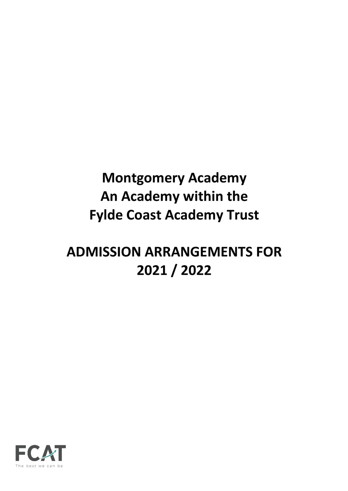# **Montgomery Academy An Academy within the Fylde Coast Academy Trust**

# **ADMISSION ARRANGEMENTS FOR 2021 / 2022**

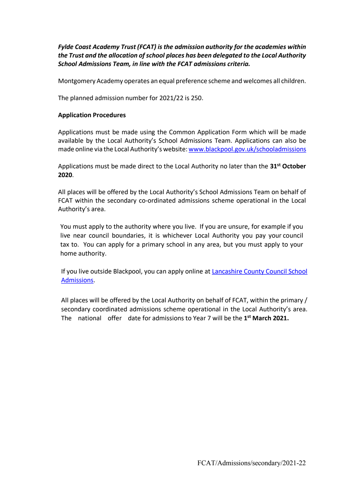*Fylde Coast Academy Trust (FCAT) is the admission authority for the academies within the Trust and the allocation of school places has been delegated to the Local Authority School Admissions Team, in line with the FCAT admissions criteria.*

Montgomery Academy operates an equal preference scheme and welcomes all children.

The planned admission number for 2021/22 is 250.

#### **Application Procedures**

Applications must be made using the Common Application Form which will be made available by the Local Authority's School Admissions Team. Applications can also be made online via the Local Authority's website: www.blackpool.gov.uk/schooladmissions

Applications must be made direct to the Local Authority no later than the **31st October 2020**.

All places will be offered by the Local Authority's School Admissions Team on behalf of FCAT within the secondary co-ordinated admissions scheme operational in the Local Authority's area.

You must apply to the authority where you live. If you are unsure, for example if you live near council boundaries, it is whichever Local Authority you pay your council tax to. You can apply for a primary school in any area, but you must apply to your home authority.

If you live outside Blackpool, you can apply online at Lancashire County Council School Admissions.

All places will be offered by the Local Authority on behalf of FCAT, within the primary / secondary coordinated admissions scheme operational in the Local Authority's area. The national offer date for admissions to Year 7 will be the **1st March 2021.**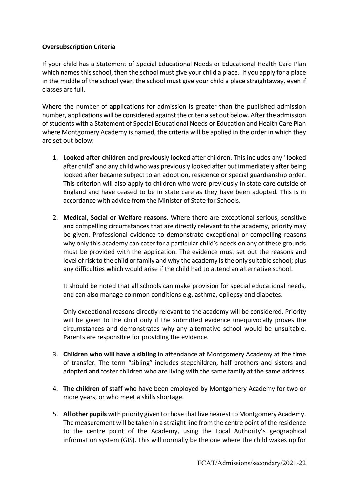# **Oversubscription Criteria**

If your child has a Statement of Special Educational Needs or Educational Health Care Plan which names this school, then the school must give your child a place. If you apply for a place in the middle of the school year, the school must give your child a place straightaway, even if classes are full.

Where the number of applications for admission is greater than the published admission number, applications will be considered against the criteria set out below. After the admission of students with a Statement of Special Educational Needs or Education and Health Care Plan where Montgomery Academy is named, the criteria will be applied in the order in which they are set out below:

- 1. **Looked after children** and previously looked after children. This includes any "looked after child" and any child who was previously looked after but immediately after being looked after became subject to an adoption, residence or special guardianship order. This criterion will also apply to children who were previously in state care outside of England and have ceased to be in state care as they have been adopted. This is in accordance with advice from the Minister of State for Schools.
- 2. **Medical, Social or Welfare reasons**. Where there are exceptional serious, sensitive and compelling circumstances that are directly relevant to the academy, priority may be given. Professional evidence to demonstrate exceptional or compelling reasons why only this academy can cater for a particular child's needs on any of these grounds must be provided with the application. The evidence must set out the reasons and level of risk to the child or family and why the academy is the only suitable school; plus any difficulties which would arise if the child had to attend an alternative school.

It should be noted that all schools can make provision for special educational needs, and can also manage common conditions e.g. asthma, epilepsy and diabetes.

Only exceptional reasons directly relevant to the academy will be considered. Priority will be given to the child only if the submitted evidence unequivocally proves the circumstances and demonstrates why any alternative school would be unsuitable. Parents are responsible for providing the evidence.

- 3. **Children who will have a sibling** in attendance at Montgomery Academy at the time of transfer. The term "sibling" includes stepchildren, half brothers and sisters and adopted and foster children who are living with the same family at the same address.
- 4. **The children of staff** who have been employed by Montgomery Academy for two or more years, or who meet a skills shortage.
- 5. **All other pupils** with priority given to those that live nearest to Montgomery Academy. The measurement will be taken in a straight line from the centre point of the residence to the centre point of the Academy, using the Local Authority's geographical information system (GIS). This will normally be the one where the child wakes up for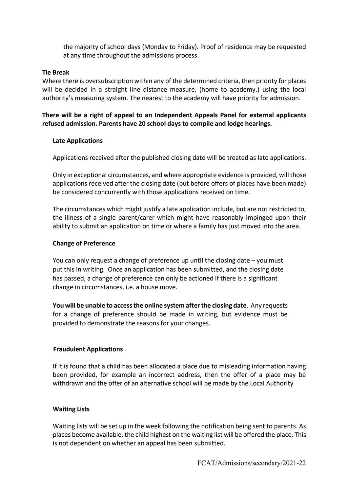the majority of school days (Monday to Friday). Proof of residence may be requested at any time throughout the admissions process.

#### **Tie Break**

Where there is oversubscription within any of the determined criteria, then priority for places will be decided in a straight line distance measure, (home to academy,) using the local authority's measuring system. The nearest to the academy will have priority for admission.

**There will be a right of appeal to an Independent Appeals Panel for external applicants refused admission. Parents have 20 school days to compile and lodge hearings.**

### **Late Applications**

Applications received after the published closing date will be treated as late applications.

Only in exceptional circumstances, and where appropriate evidence is provided, will those applications received after the closing date (but before offers of places have been made) be considered concurrently with those applications received on time.

The circumstances which might justify a late application include, but are not restricted to, the illness of a single parent/carer which might have reasonably impinged upon their ability to submit an application on time or where a family has just moved into the area.

### **Change of Preference**

You can only request a change of preference up until the closing date – you must put this in writing. Once an application has been submitted, and the closing date has passed, a change of preference can only be actioned if there is a significant change in circumstances, i.e. a house move.

**You will be unable to access the online system after the closing date**. Any requests for a change of preference should be made in writing, but evidence must be provided to demonstrate the reasons for your changes.

#### **Fraudulent Applications**

If it is found that a child has been allocated a place due to misleading information having been provided, for example an incorrect address, then the offer of a place may be withdrawn and the offer of an alternative school will be made by the Local Authority

#### **Waiting Lists**

Waiting lists will be set up in the week following the notification being sent to parents. As places become available, the child highest on the waiting list will be offered the place. This is not dependent on whether an appeal has been submitted.